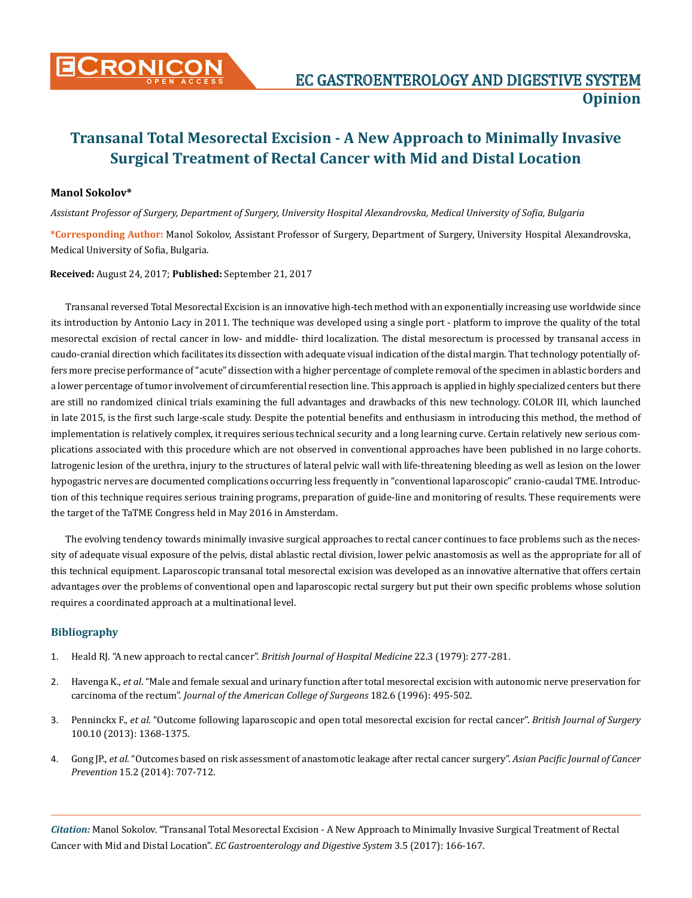

# **Transanal Total Mesorectal Excision - A New Approach to Minimally Invasive Surgical Treatment of Rectal Cancer with Mid and Distal Location**

### **Manol Sokolov\***

*Assistant Professor of Surgery, Department of Surgery, University Hospital Alexandrovska, Medical University of Sofia, Bulgaria*

**\*Corresponding Author:** Manol Sokolov, Assistant Professor of Surgery, Department of Surgery, University Hospital Alexandrovska, Medical University of Sofia, Bulgaria.

#### **Received:** August 24, 2017; **Published:** September 21, 2017

Transanal reversed Total Mesorectal Excision is an innovative high-tech method with an exponentially increasing use worldwide since its introduction by Antonio Lacy in 2011. The technique was developed using a single port - platform to improve the quality of the total mesorectal excision of rectal cancer in low- and middle- third localization. The distal mesorectum is processed by transanal access in caudo-cranial direction which facilitates its dissection with adequate visual indication of the distal margin. That technology potentially offers more precise performance of "acute" dissection with a higher percentage of complete removal of the specimen in ablastic borders and a lower percentage of tumor involvement of circumferential resection line. This approach is applied in highly specialized centers but there are still no randomized clinical trials examining the full advantages and drawbacks of this new technology. COLOR III, which launched in late 2015, is the first such large-scale study. Despite the potential benefits and enthusiasm in introducing this method, the method of implementation is relatively complex, it requires serious technical security and a long learning curve. Certain relatively new serious complications associated with this procedure which are not observed in conventional approaches have been published in no large cohorts. Iatrogenic lesion of the urethra, injury to the structures of lateral pelvic wall with life-threatening bleeding as well as lesion on the lower hypogastric nerves are documented complications occurring less frequently in "conventional laparoscopic" cranio-caudal TME. Introduction of this technique requires serious training programs, preparation of guide-line and monitoring of results. These requirements were the target of the TaTME Congress held in May 2016 in Amsterdam.

The evolving tendency towards minimally invasive surgical approaches to rectal cancer continues to face problems such as the necessity of adequate visual exposure of the pelvis, distal ablastic rectal division, lower pelvic anastomosis as well as the appropriate for all of this technical equipment. Laparoscopic transanal total mesorectal excision was developed as an innovative alternative that offers certain advantages over the problems of conventional open and laparoscopic rectal surgery but put their own specific problems whose solution requires a coordinated approach at a multinational level.

## **Bibliography**

- 1. [Heald RJ. "A new approach to rectal cancer".](https://www.ncbi.nlm.nih.gov/pubmed/391315) *British Journal of Hospital Medicine* 22.3 (1979): 277-281.
- 2. Havenga K., *et al*[. "Male and female sexual and urinary function after total mesorectal excision with autonomic nerve preservation for](https://www.ncbi.nlm.nih.gov/pubmed/8646349)  carcinoma of the rectum". *[Journal of the American College of Surgeons](https://www.ncbi.nlm.nih.gov/pubmed/8646349)* 182.6 (1996): 495-502.
- 3. Penninckx F., *et al*[. "Outcome following laparoscopic and open total mesorectal excision for rectal cancer".](https://www.ncbi.nlm.nih.gov/pubmed/23939849) *British Journal of Surgery* [100.10 \(2013\): 1368-1375.](https://www.ncbi.nlm.nih.gov/pubmed/23939849)
- 4. Gong JP., *et al*[. "Outcomes based on risk assessment of anastomotic leakage after rectal cancer surgery".](https://www.ncbi.nlm.nih.gov/pubmed/24568483) *Asian Pacific Journal of Cancer Prevention* [15.2 \(2014\): 707-712.](https://www.ncbi.nlm.nih.gov/pubmed/24568483)

*Citation:* Manol Sokolov. "Transanal Total Mesorectal Excision - A New Approach to Minimally Invasive Surgical Treatment of Rectal Cancer with Mid and Distal Location". *EC Gastroenterology and Digestive System* 3.5 (2017): 166-167.